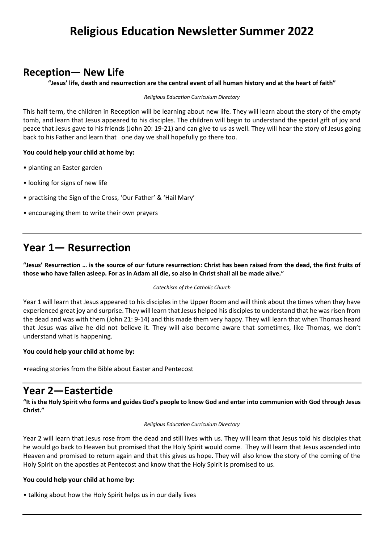# **Religious Education Newsletter Summer 2022**

### **Reception— New Life**

**"Jesus' life, death and resurrection are the central event of all human history and at the heart of faith"**

*Religious Education Curriculum Directory*

This half term, the children in Reception will be learning about new life. They will learn about the story of the empty tomb, and learn that Jesus appeared to his disciples. The children will begin to understand the special gift of joy and peace that Jesus gave to his friends (John 20: 19-21) and can give to us as well. They will hear the story of Jesus going back to his Father and learn that one day we shall hopefully go there too.

### **You could help your child at home by:**

- planting an Easter garden
- looking for signs of new life
- practising the Sign of the Cross, 'Our Father' & 'Hail Mary'
- encouraging them to write their own prayers

### **Year 1— Resurrection**

**"Jesus' Resurrection … is the source of our future resurrection: Christ has been raised from the dead, the first fruits of those who have fallen asleep. For as in Adam all die, so also in Christ shall all be made alive."**

#### *Catechism of the Catholic Church*

Year 1 will learn that Jesus appeared to his disciples in the Upper Room and will think about the times when they have experienced great joy and surprise. They will learn that Jesus helped his disciples to understand that he was risen from the dead and was with them (John 21: 9-14) and this made them very happy. They will learn that when Thomas heard that Jesus was alive he did not believe it. They will also become aware that sometimes, like Thomas, we don't understand what is happening.

### **You could help your child at home by:**

•reading stories from the Bible about Easter and Pentecost

### **Year 2—Eastertide**

**"It is the Holy Spirit who forms and guides God's people to know God and enter into communion with God through Jesus Christ."**

#### *Religious Education Curriculum Directory*

Year 2 will learn that Jesus rose from the dead and still lives with us. They will learn that Jesus told his disciples that he would go back to Heaven but promised that the Holy Spirit would come. They will learn that Jesus ascended into Heaven and promised to return again and that this gives us hope. They will also know the story of the coming of the Holy Spirit on the apostles at Pentecost and know that the Holy Spirit is promised to us.

### **You could help your child at home by:**

• talking about how the Holy Spirit helps us in our daily lives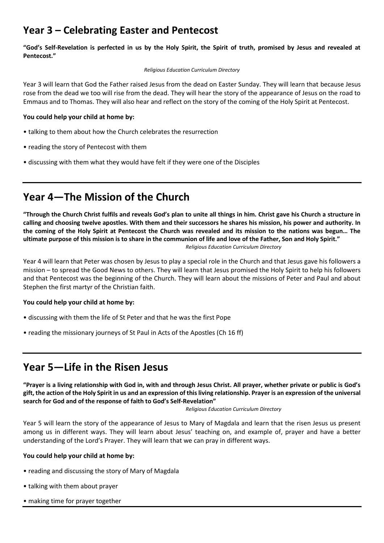## **Year 3 – Celebrating Easter and Pentecost**

**"God's Self-Revelation is perfected in us by the Holy Spirit, the Spirit of truth, promised by Jesus and revealed at Pentecost."**

#### *Religious Education Curriculum Directory*

Year 3 will learn that God the Father raised Jesus from the dead on Easter Sunday. They will learn that because Jesus rose from the dead we too will rise from the dead. They will hear the story of the appearance of Jesus on the road to Emmaus and to Thomas. They will also hear and reflect on the story of the coming of the Holy Spirit at Pentecost.

### **You could help your child at home by:**

- talking to them about how the Church celebrates the resurrection
- reading the story of Pentecost with them
- discussing with them what they would have felt if they were one of the Disciples

## **Year 4—The Mission of the Church**

**"Through the Church Christ fulfils and reveals God's plan to unite all things in him. Christ gave his Church a structure in calling and choosing twelve apostles. With them and their successors he shares his mission, his power and authority. In the coming of the Holy Spirit at Pentecost the Church was revealed and its mission to the nations was begun… The ultimate purpose of this mission is to share in the communion of life and love of the Father, Son and Holy Spirit."**  *Religious Education Curriculum Directory*

Year 4 will learn that Peter was chosen by Jesus to play a special role in the Church and that Jesus gave his followers a mission – to spread the Good News to others. They will learn that Jesus promised the Holy Spirit to help his followers and that Pentecost was the beginning of the Church. They will learn about the missions of Peter and Paul and about Stephen the first martyr of the Christian faith.

### **You could help your child at home by:**

- discussing with them the life of St Peter and that he was the first Pope
- reading the missionary journeys of St Paul in Acts of the Apostles (Ch 16 ff)

### **Year 5—Life in the Risen Jesus**

**"Prayer is a living relationship with God in, with and through Jesus Christ. All prayer, whether private or public is God's gift, the action of the Holy Spirit in us and an expression of this living relationship. Prayer is an expression of the universal search for God and of the response of faith to God's Self-Revelation"**

*Religious Education Curriculum Directory*

Year 5 will learn the story of the appearance of Jesus to Mary of Magdala and learn that the risen Jesus us present among us in different ways. They will learn about Jesus' teaching on, and example of, prayer and have a better understanding of the Lord's Prayer. They will learn that we can pray in different ways.

### **You could help your child at home by:**

- reading and discussing the story of Mary of Magdala
- talking with them about prayer
- making time for prayer together